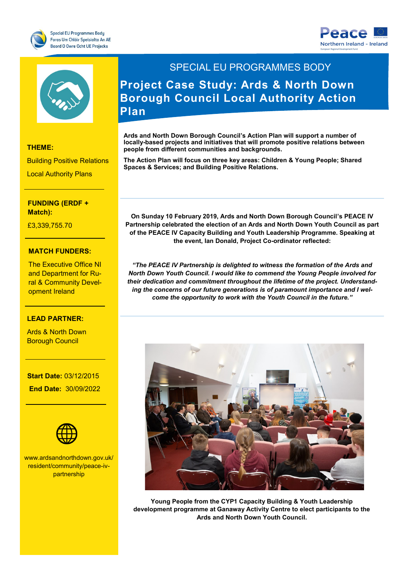





#### **THEME:**

Building Positive Relations

Local Authority Plans

Research and Innovation **Match): FUNDING (ERDF +** 

£3,339,755.70

#### **MATCH FUNDERS:**

The Executive Office NI ral & Community Develand Department for Ruopment Ireland

**LEAD PARTNER:**

Renewable Energy

### **LEAD PARTNER:**

Ards & North Boy<br>Borough Council Ards & North Down

**End Date: 30/09/2022 Start Date:** 03/12/2015



 $K_{\rm eff}$  is the contract of the contract of the contract of the contract of the contract of the contract of the contract of the contract of the contract of the contract of the contract of the contract of the contract of t

**Social Media:** resident/community/peace-ivwww.ardsandnorthdown.gov.uk/ partnership

# SPECIAL EU PROGRAMMES BODY **Project Case Study: Ards & North Down Borough Council Local Authority Action Plan**

**Ards and North Down Borough Council's Action Plan will support a number of locally-based projects and initiatives that will promote positive relations between people from different communities and backgrounds.** 

**The Action Plan will focus on three key areas: Children & Young People; Shared Spaces & Services; and Building Positive Relations.** 

**On Sunday 10 February 2019, Ards and North Down Borough Council's PEACE IV Partnership celebrated the election of an Ards and North Down Youth Council as part of the PEACE IV Capacity Building and Youth Leadership Programme. Speaking at the event, Ian Donald, Project Co-ordinator reflected:** 

*"The PEACE IV Partnership is delighted to witness the formation of the Ards and North Down Youth Council. I would like to commend the Young People involved for their dedication and commitment throughout the lifetime of the project. Understanding the concerns of our future generations is of paramount importance and I welcome the opportunity to work with the Youth Council in the future."* 



**Young People from the CYP1 Capacity Building & Youth Leadership development programme at Ganaway Activity Centre to elect participants to the Ards and North Down Youth Council.**